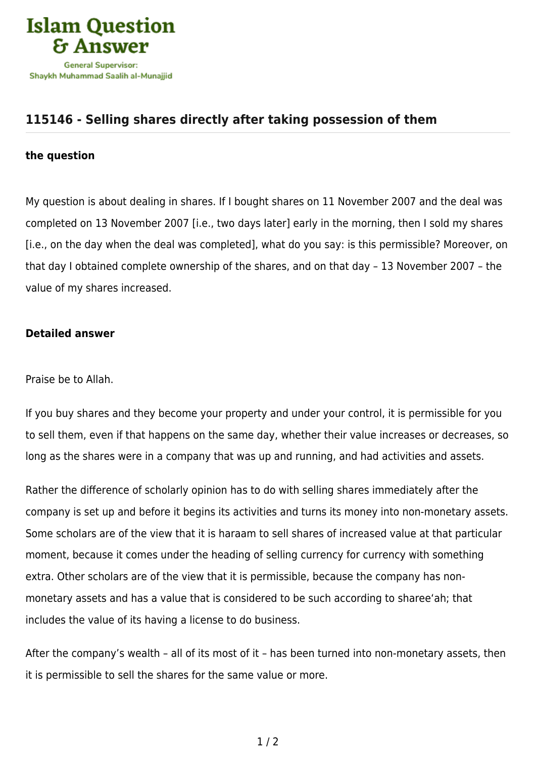

## **[115146 - Selling shares directly after taking possession of them](https://islamqa.com/en/answers/115146/selling-shares-directly-after-taking-possession-of-them)**

## **the question**

My question is about dealing in shares. If I bought shares on 11 November 2007 and the deal was completed on 13 November 2007 [i.e., two days later] early in the morning, then I sold my shares [i.e., on the day when the deal was completed], what do you say: is this permissible? Moreover, on that day I obtained complete ownership of the shares, and on that day – 13 November 2007 – the value of my shares increased.

## **Detailed answer**

Praise be to Allah.

If you buy shares and they become your property and under your control, it is permissible for you to sell them, even if that happens on the same day, whether their value increases or decreases, so long as the shares were in a company that was up and running, and had activities and assets.

Rather the difference of scholarly opinion has to do with selling shares immediately after the company is set up and before it begins its activities and turns its money into non-monetary assets. Some scholars are of the view that it is haraam to sell shares of increased value at that particular moment, because it comes under the heading of selling currency for currency with something extra. Other scholars are of the view that it is permissible, because the company has nonmonetary assets and has a value that is considered to be such according to sharee'ah; that includes the value of its having a license to do business.

After the company's wealth - all of its most of it - has been turned into non-monetary assets, then it is permissible to sell the shares for the same value or more.